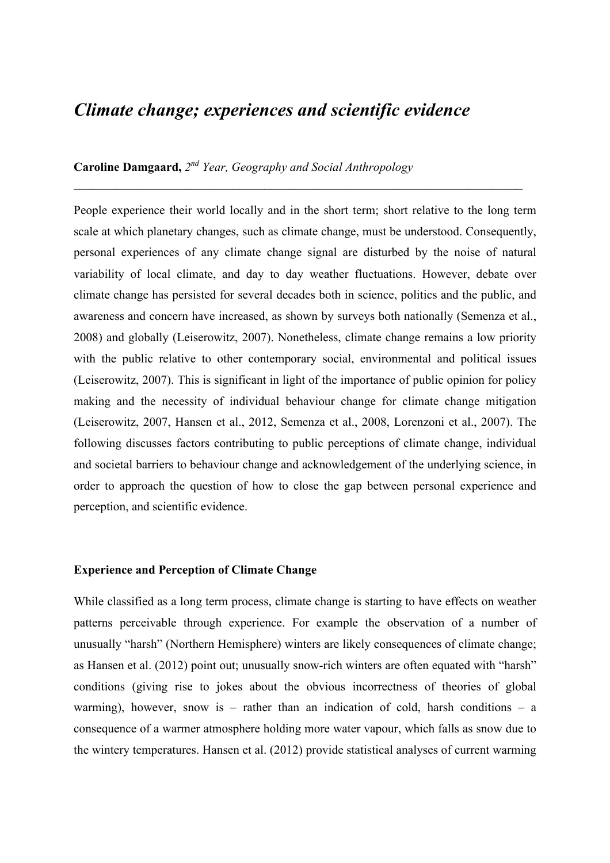# *Climate change; experiences and scientific evidence*

 $\mathcal{L}_\text{max} = \mathcal{L}_\text{max} = \mathcal{L}_\text{max} = \mathcal{L}_\text{max} = \mathcal{L}_\text{max} = \mathcal{L}_\text{max} = \mathcal{L}_\text{max} = \mathcal{L}_\text{max} = \mathcal{L}_\text{max} = \mathcal{L}_\text{max} = \mathcal{L}_\text{max} = \mathcal{L}_\text{max} = \mathcal{L}_\text{max} = \mathcal{L}_\text{max} = \mathcal{L}_\text{max} = \mathcal{L}_\text{max} = \mathcal{L}_\text{max} = \mathcal{L}_\text{max} = \mathcal{$ 

## **Caroline Damgaard,** *2nd Year, Geography and Social Anthropology*

People experience their world locally and in the short term; short relative to the long term scale at which planetary changes, such as climate change, must be understood. Consequently, personal experiences of any climate change signal are disturbed by the noise of natural variability of local climate, and day to day weather fluctuations. However, debate over climate change has persisted for several decades both in science, politics and the public, and awareness and concern have increased, as shown by surveys both nationally (Semenza et al., 2008) and globally (Leiserowitz, 2007). Nonetheless, climate change remains a low priority with the public relative to other contemporary social, environmental and political issues (Leiserowitz, 2007). This is significant in light of the importance of public opinion for policy making and the necessity of individual behaviour change for climate change mitigation (Leiserowitz, 2007, Hansen et al., 2012, Semenza et al., 2008, Lorenzoni et al., 2007). The following discusses factors contributing to public perceptions of climate change, individual and societal barriers to behaviour change and acknowledgement of the underlying science, in order to approach the question of how to close the gap between personal experience and perception, and scientific evidence.

#### **Experience and Perception of Climate Change**

While classified as a long term process, climate change is starting to have effects on weather patterns perceivable through experience. For example the observation of a number of unusually "harsh" (Northern Hemisphere) winters are likely consequences of climate change; as Hansen et al. (2012) point out; unusually snow-rich winters are often equated with "harsh" conditions (giving rise to jokes about the obvious incorrectness of theories of global warming), however, snow is – rather than an indication of cold, harsh conditions – a consequence of a warmer atmosphere holding more water vapour, which falls as snow due to the wintery temperatures. Hansen et al. (2012) provide statistical analyses of current warming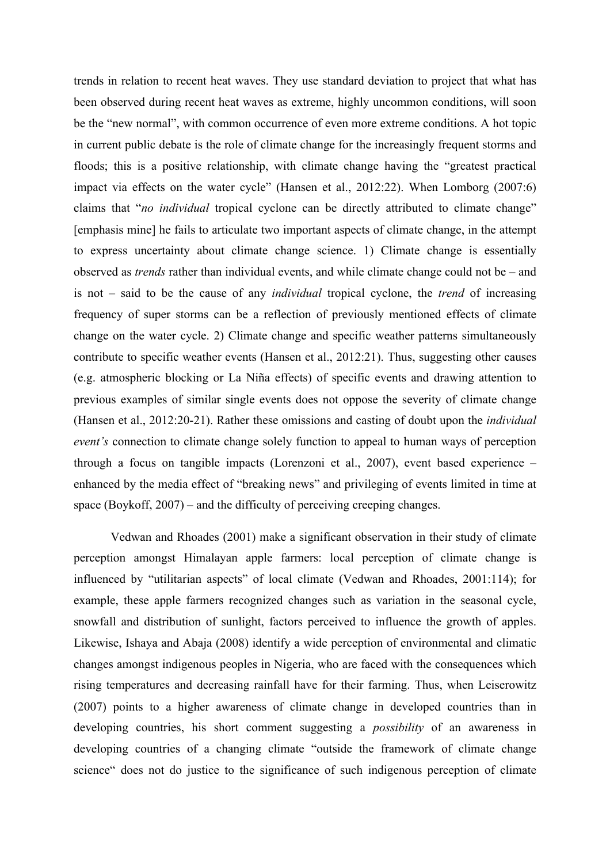trends in relation to recent heat waves. They use standard deviation to project that what has been observed during recent heat waves as extreme, highly uncommon conditions, will soon be the "new normal", with common occurrence of even more extreme conditions. A hot topic in current public debate is the role of climate change for the increasingly frequent storms and floods; this is a positive relationship, with climate change having the "greatest practical impact via effects on the water cycle" (Hansen et al., 2012:22). When Lomborg (2007:6) claims that "*no individual* tropical cyclone can be directly attributed to climate change" [emphasis mine] he fails to articulate two important aspects of climate change, in the attempt to express uncertainty about climate change science. 1) Climate change is essentially observed as *trends* rather than individual events, and while climate change could not be – and is not – said to be the cause of any *individual* tropical cyclone, the *trend* of increasing frequency of super storms can be a reflection of previously mentioned effects of climate change on the water cycle. 2) Climate change and specific weather patterns simultaneously contribute to specific weather events (Hansen et al., 2012:21). Thus, suggesting other causes (e.g. atmospheric blocking or La Niña effects) of specific events and drawing attention to previous examples of similar single events does not oppose the severity of climate change (Hansen et al., 2012:20-21). Rather these omissions and casting of doubt upon the *individual event's* connection to climate change solely function to appeal to human ways of perception through a focus on tangible impacts (Lorenzoni et al., 2007), event based experience – enhanced by the media effect of "breaking news" and privileging of events limited in time at space (Boykoff, 2007) – and the difficulty of perceiving creeping changes.

Vedwan and Rhoades (2001) make a significant observation in their study of climate perception amongst Himalayan apple farmers: local perception of climate change is influenced by "utilitarian aspects" of local climate (Vedwan and Rhoades, 2001:114); for example, these apple farmers recognized changes such as variation in the seasonal cycle, snowfall and distribution of sunlight, factors perceived to influence the growth of apples. Likewise, Ishaya and Abaja (2008) identify a wide perception of environmental and climatic changes amongst indigenous peoples in Nigeria, who are faced with the consequences which rising temperatures and decreasing rainfall have for their farming. Thus, when Leiserowitz (2007) points to a higher awareness of climate change in developed countries than in developing countries, his short comment suggesting a *possibility* of an awareness in developing countries of a changing climate "outside the framework of climate change science" does not do justice to the significance of such indigenous perception of climate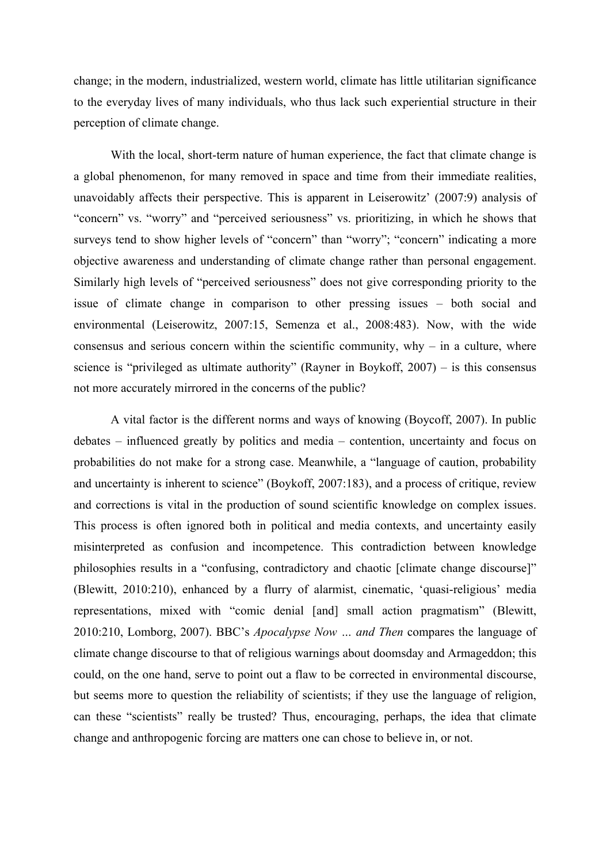change; in the modern, industrialized, western world, climate has little utilitarian significance to the everyday lives of many individuals, who thus lack such experiential structure in their perception of climate change.

With the local, short-term nature of human experience, the fact that climate change is a global phenomenon, for many removed in space and time from their immediate realities, unavoidably affects their perspective. This is apparent in Leiserowitz' (2007:9) analysis of "concern" vs. "worry" and "perceived seriousness" vs. prioritizing, in which he shows that surveys tend to show higher levels of "concern" than "worry"; "concern" indicating a more objective awareness and understanding of climate change rather than personal engagement. Similarly high levels of "perceived seriousness" does not give corresponding priority to the issue of climate change in comparison to other pressing issues – both social and environmental (Leiserowitz, 2007:15, Semenza et al., 2008:483). Now, with the wide consensus and serious concern within the scientific community,  $why - in a$  culture, where science is "privileged as ultimate authority" (Rayner in Boykoff, 2007) – is this consensus not more accurately mirrored in the concerns of the public?

A vital factor is the different norms and ways of knowing (Boycoff, 2007). In public debates – influenced greatly by politics and media – contention, uncertainty and focus on probabilities do not make for a strong case. Meanwhile, a "language of caution, probability and uncertainty is inherent to science" (Boykoff, 2007:183), and a process of critique, review and corrections is vital in the production of sound scientific knowledge on complex issues. This process is often ignored both in political and media contexts, and uncertainty easily misinterpreted as confusion and incompetence. This contradiction between knowledge philosophies results in a "confusing, contradictory and chaotic [climate change discourse]" (Blewitt, 2010:210), enhanced by a flurry of alarmist, cinematic, 'quasi-religious' media representations, mixed with "comic denial [and] small action pragmatism" (Blewitt, 2010:210, Lomborg, 2007). BBC's *Apocalypse Now … and Then* compares the language of climate change discourse to that of religious warnings about doomsday and Armageddon; this could, on the one hand, serve to point out a flaw to be corrected in environmental discourse, but seems more to question the reliability of scientists; if they use the language of religion, can these "scientists" really be trusted? Thus, encouraging, perhaps, the idea that climate change and anthropogenic forcing are matters one can chose to believe in, or not.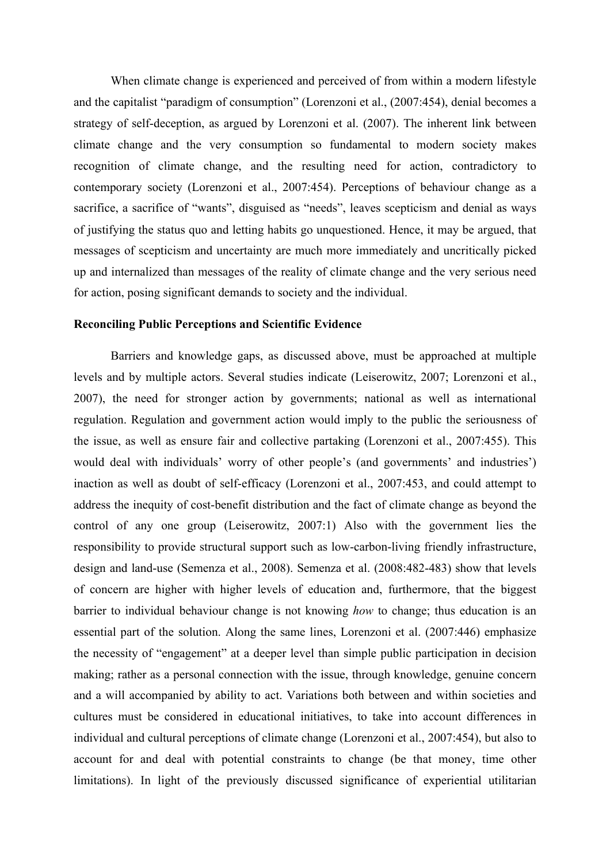When climate change is experienced and perceived of from within a modern lifestyle and the capitalist "paradigm of consumption" (Lorenzoni et al., (2007:454), denial becomes a strategy of self-deception, as argued by Lorenzoni et al. (2007). The inherent link between climate change and the very consumption so fundamental to modern society makes recognition of climate change, and the resulting need for action, contradictory to contemporary society (Lorenzoni et al., 2007:454). Perceptions of behaviour change as a sacrifice, a sacrifice of "wants", disguised as "needs", leaves scepticism and denial as ways of justifying the status quo and letting habits go unquestioned. Hence, it may be argued, that messages of scepticism and uncertainty are much more immediately and uncritically picked up and internalized than messages of the reality of climate change and the very serious need for action, posing significant demands to society and the individual.

### **Reconciling Public Perceptions and Scientific Evidence**

Barriers and knowledge gaps, as discussed above, must be approached at multiple levels and by multiple actors. Several studies indicate (Leiserowitz, 2007; Lorenzoni et al., 2007), the need for stronger action by governments; national as well as international regulation. Regulation and government action would imply to the public the seriousness of the issue, as well as ensure fair and collective partaking (Lorenzoni et al., 2007:455). This would deal with individuals' worry of other people's (and governments' and industries') inaction as well as doubt of self-efficacy (Lorenzoni et al., 2007:453, and could attempt to address the inequity of cost-benefit distribution and the fact of climate change as beyond the control of any one group (Leiserowitz, 2007:1) Also with the government lies the responsibility to provide structural support such as low-carbon-living friendly infrastructure, design and land-use (Semenza et al., 2008). Semenza et al. (2008:482-483) show that levels of concern are higher with higher levels of education and, furthermore, that the biggest barrier to individual behaviour change is not knowing *how* to change; thus education is an essential part of the solution. Along the same lines, Lorenzoni et al. (2007:446) emphasize the necessity of "engagement" at a deeper level than simple public participation in decision making; rather as a personal connection with the issue, through knowledge, genuine concern and a will accompanied by ability to act. Variations both between and within societies and cultures must be considered in educational initiatives, to take into account differences in individual and cultural perceptions of climate change (Lorenzoni et al., 2007:454), but also to account for and deal with potential constraints to change (be that money, time other limitations). In light of the previously discussed significance of experiential utilitarian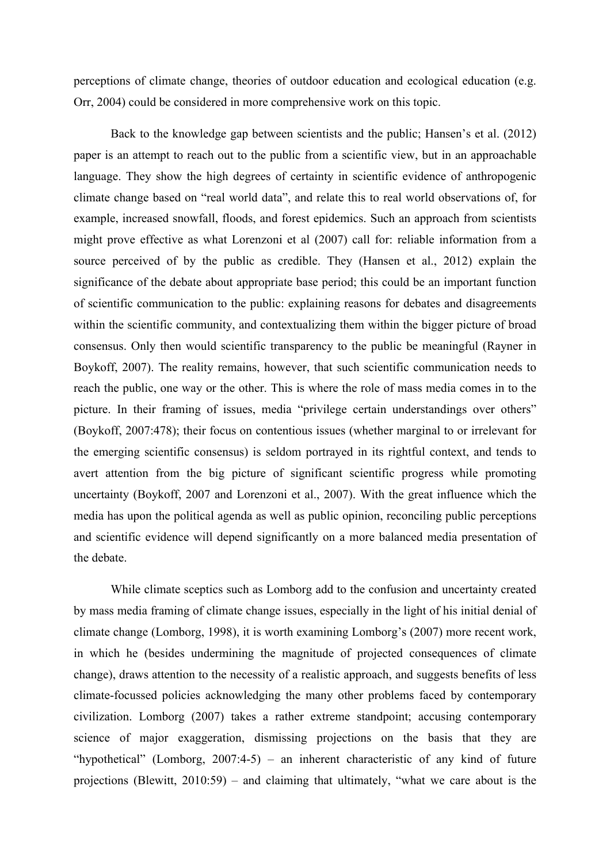perceptions of climate change, theories of outdoor education and ecological education (e.g. Orr, 2004) could be considered in more comprehensive work on this topic.

Back to the knowledge gap between scientists and the public; Hansen's et al. (2012) paper is an attempt to reach out to the public from a scientific view, but in an approachable language. They show the high degrees of certainty in scientific evidence of anthropogenic climate change based on "real world data", and relate this to real world observations of, for example, increased snowfall, floods, and forest epidemics. Such an approach from scientists might prove effective as what Lorenzoni et al (2007) call for: reliable information from a source perceived of by the public as credible. They (Hansen et al., 2012) explain the significance of the debate about appropriate base period; this could be an important function of scientific communication to the public: explaining reasons for debates and disagreements within the scientific community, and contextualizing them within the bigger picture of broad consensus. Only then would scientific transparency to the public be meaningful (Rayner in Boykoff, 2007). The reality remains, however, that such scientific communication needs to reach the public, one way or the other. This is where the role of mass media comes in to the picture. In their framing of issues, media "privilege certain understandings over others" (Boykoff, 2007:478); their focus on contentious issues (whether marginal to or irrelevant for the emerging scientific consensus) is seldom portrayed in its rightful context, and tends to avert attention from the big picture of significant scientific progress while promoting uncertainty (Boykoff, 2007 and Lorenzoni et al., 2007). With the great influence which the media has upon the political agenda as well as public opinion, reconciling public perceptions and scientific evidence will depend significantly on a more balanced media presentation of the debate.

While climate sceptics such as Lomborg add to the confusion and uncertainty created by mass media framing of climate change issues, especially in the light of his initial denial of climate change (Lomborg, 1998), it is worth examining Lomborg's (2007) more recent work, in which he (besides undermining the magnitude of projected consequences of climate change), draws attention to the necessity of a realistic approach, and suggests benefits of less climate-focussed policies acknowledging the many other problems faced by contemporary civilization. Lomborg (2007) takes a rather extreme standpoint; accusing contemporary science of major exaggeration, dismissing projections on the basis that they are "hypothetical" (Lomborg, 2007:4-5) – an inherent characteristic of any kind of future projections (Blewitt, 2010:59) – and claiming that ultimately, "what we care about is the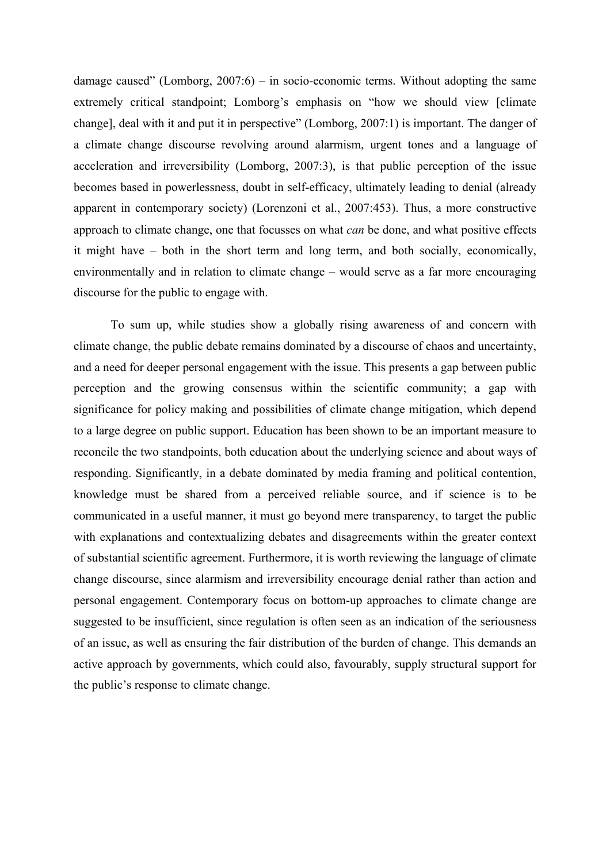damage caused" (Lomborg, 2007:6) – in socio-economic terms. Without adopting the same extremely critical standpoint; Lomborg's emphasis on "how we should view [climate change], deal with it and put it in perspective" (Lomborg, 2007:1) is important. The danger of a climate change discourse revolving around alarmism, urgent tones and a language of acceleration and irreversibility (Lomborg, 2007:3), is that public perception of the issue becomes based in powerlessness, doubt in self-efficacy, ultimately leading to denial (already apparent in contemporary society) (Lorenzoni et al., 2007:453). Thus, a more constructive approach to climate change, one that focusses on what *can* be done, and what positive effects it might have – both in the short term and long term, and both socially, economically, environmentally and in relation to climate change – would serve as a far more encouraging discourse for the public to engage with.

To sum up, while studies show a globally rising awareness of and concern with climate change, the public debate remains dominated by a discourse of chaos and uncertainty, and a need for deeper personal engagement with the issue. This presents a gap between public perception and the growing consensus within the scientific community; a gap with significance for policy making and possibilities of climate change mitigation, which depend to a large degree on public support. Education has been shown to be an important measure to reconcile the two standpoints, both education about the underlying science and about ways of responding. Significantly, in a debate dominated by media framing and political contention, knowledge must be shared from a perceived reliable source, and if science is to be communicated in a useful manner, it must go beyond mere transparency, to target the public with explanations and contextualizing debates and disagreements within the greater context of substantial scientific agreement. Furthermore, it is worth reviewing the language of climate change discourse, since alarmism and irreversibility encourage denial rather than action and personal engagement. Contemporary focus on bottom-up approaches to climate change are suggested to be insufficient, since regulation is often seen as an indication of the seriousness of an issue, as well as ensuring the fair distribution of the burden of change. This demands an active approach by governments, which could also, favourably, supply structural support for the public's response to climate change.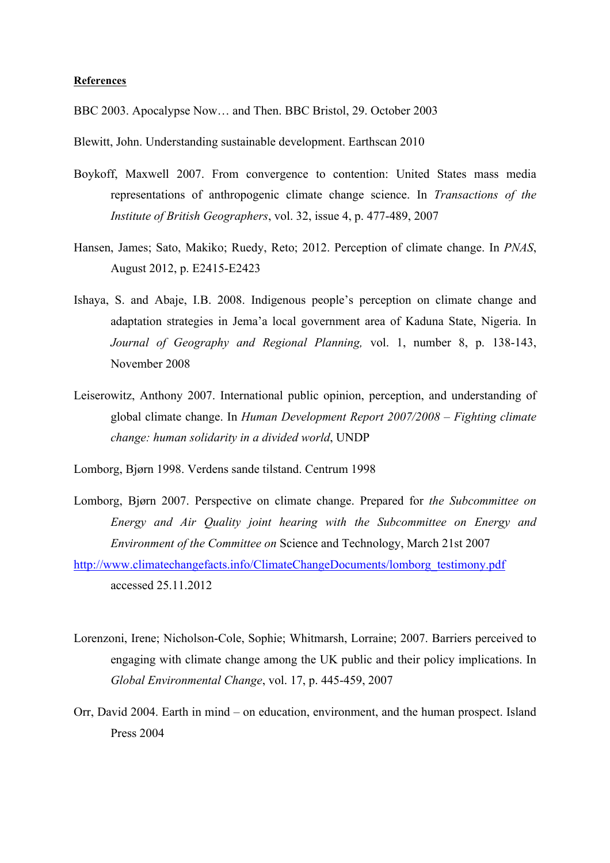#### **References**

BBC 2003. Apocalypse Now… and Then. BBC Bristol, 29. October 2003

Blewitt, John. Understanding sustainable development. Earthscan 2010

- Boykoff, Maxwell 2007. From convergence to contention: United States mass media representations of anthropogenic climate change science. In *Transactions of the Institute of British Geographers*, vol. 32, issue 4, p. 477-489, 2007
- Hansen, James; Sato, Makiko; Ruedy, Reto; 2012. Perception of climate change. In *PNAS*, August 2012, p. E2415-E2423
- Ishaya, S. and Abaje, I.B. 2008. Indigenous people's perception on climate change and adaptation strategies in Jema'a local government area of Kaduna State, Nigeria. In *Journal of Geography and Regional Planning,* vol. 1, number 8, p. 138-143, November 2008
- Leiserowitz, Anthony 2007. International public opinion, perception, and understanding of global climate change. In *Human Development Report 2007/2008 – Fighting climate change: human solidarity in a divided world*, UNDP

Lomborg, Bjørn 1998. Verdens sande tilstand. Centrum 1998

Lomborg, Bjørn 2007. Perspective on climate change. Prepared for *the Subcommittee on Energy and Air Quality joint hearing with the Subcommittee on Energy and Environment of the Committee on* Science and Technology, March 21st 2007

http://www.climatechangefacts.info/ClimateChangeDocuments/lomborg\_testimony.pdf accessed 25.11.2012

- Lorenzoni, Irene; Nicholson-Cole, Sophie; Whitmarsh, Lorraine; 2007. Barriers perceived to engaging with climate change among the UK public and their policy implications. In *Global Environmental Change*, vol. 17, p. 445-459, 2007
- Orr, David 2004. Earth in mind on education, environment, and the human prospect. Island Press 2004